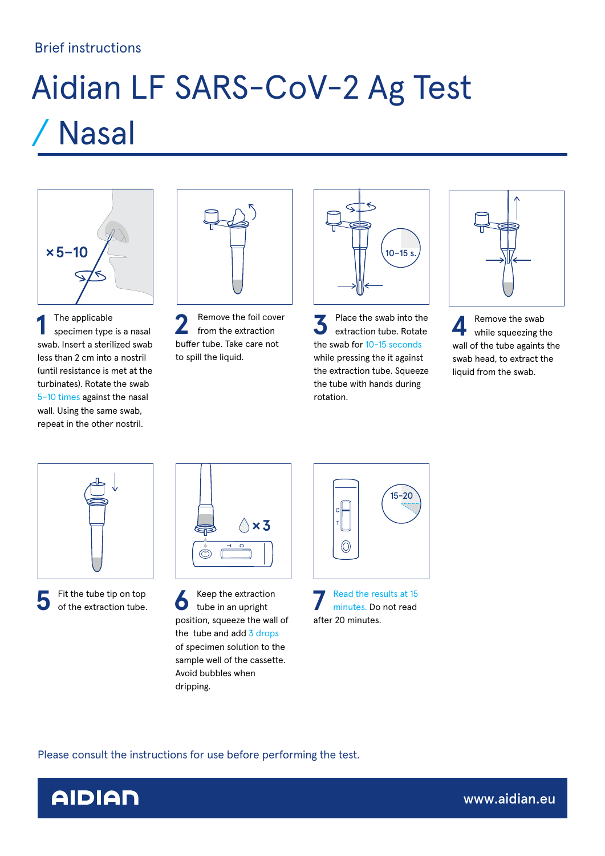### Brief instructions

# Aidian LF SARS-CoV-2 Ag Test / Nasal



**1** The applicable specimen type is a nasal swab. Insert a sterilized swab less than 2 cm into a nostril (until resistance is met at the turbinates). Rotate the swab 5–10 times against the nasal wall. Using the same swab, repeat in the other nostril.



**2** Remove the foil cover from the extraction buffer tube. Take care not to spill the liquid.



**3** Place the swab into the extraction tube. Rotate the swab for 10-15 seconds while pressing the it against the extraction tube. Squeeze the tube with hands during rotation.



**4** Remove the swab<br>while squeezing the wall of the tube againts the swab head, to extract the liquid from the swab.





**5** Fit the tube tip on top **6** Keep the extraction of the extraction tube. <br> **6** tube in an upright tube in an upright position, squeeze the wall of the tube and add 3 drops of specimen solution to the sample well of the cassette. Avoid bubbles when dripping.

![](_page_0_Figure_14.jpeg)

**7** Read the results at 15 minutes. Do not read after 20 minutes.

Please consult the instructions for use before performing the test.

![](_page_0_Picture_17.jpeg)